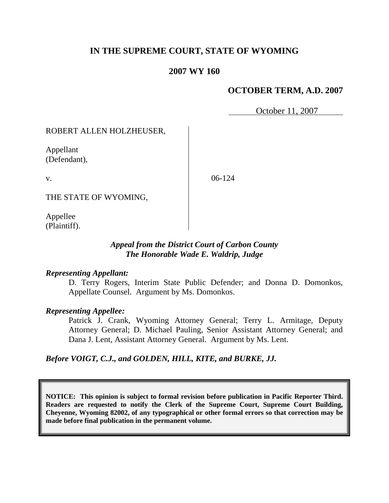# **IN THE SUPREME COURT, STATE OF WYOMING**

## **2007 WY 160**

# **OCTOBER TERM, A.D. 2007**

October 11, 2007

ROBERT ALLEN HOLZHEUSER,

Appellant (Defendant),

v.

06-124

THE STATE OF WYOMING,

Appellee (Plaintiff).

## *Appeal from the District Court of Carbon County The Honorable Wade E. Waldrip, Judge*

#### *Representing Appellant:*

D. Terry Rogers, Interim State Public Defender; and Donna D. Domonkos, Appellate Counsel. Argument by Ms. Domonkos.

### *Representing Appellee:*

Patrick J. Crank, Wyoming Attorney General; Terry L. Armitage, Deputy Attorney General; D. Michael Pauling, Senior Assistant Attorney General; and Dana J. Lent, Assistant Attorney General. Argument by Ms. Lent.

*Before VOIGT, C.J., and GOLDEN, HILL, KITE, and BURKE, JJ.*

**NOTICE: This opinion is subject to formal revision before publication in Pacific Reporter Third. Readers are requested to notify the Clerk of the Supreme Court, Supreme Court Building, Cheyenne, Wyoming 82002, of any typographical or other formal errors so that correction may be made before final publication in the permanent volume.**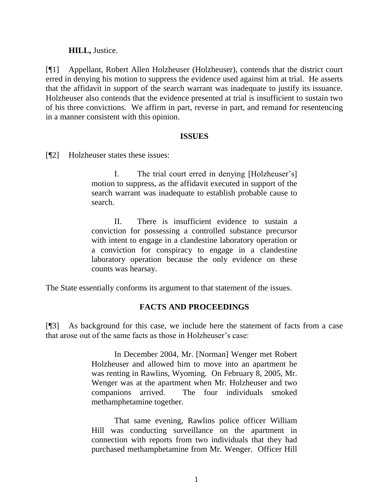## **HILL,** Justice.

[¶1] Appellant, Robert Allen Holzheuser (Holzheuser), contends that the district court erred in denying his motion to suppress the evidence used against him at trial. He asserts that the affidavit in support of the search warrant was inadequate to justify its issuance. Holzheuser also contends that the evidence presented at trial is insufficient to sustain two of his three convictions. We affirm in part, reverse in part, and remand for resentencing in a manner consistent with this opinion.

### **ISSUES**

[¶2] Holzheuser states these issues:

I. The trial court erred in denying [Holzheuser's] motion to suppress, as the affidavit executed in support of the search warrant was inadequate to establish probable cause to search.

II. There is insufficient evidence to sustain a conviction for possessing a controlled substance precursor with intent to engage in a clandestine laboratory operation or a conviction for conspiracy to engage in a clandestine laboratory operation because the only evidence on these counts was hearsay.

The State essentially conforms its argument to that statement of the issues.

# **FACTS AND PROCEEDINGS**

[¶3] As background for this case, we include here the statement of facts from a case that arose out of the same facts as those in Holzheuser's case:

> In December 2004, Mr. [Norman] Wenger met Robert Holzheuser and allowed him to move into an apartment he was renting in Rawlins, Wyoming. On February 8, 2005, Mr. Wenger was at the apartment when Mr. Holzheuser and two companions arrived. The four individuals smoked methamphetamine together.

> That same evening, Rawlins police officer William Hill was conducting surveillance on the apartment in connection with reports from two individuals that they had purchased methamphetamine from Mr. Wenger. Officer Hill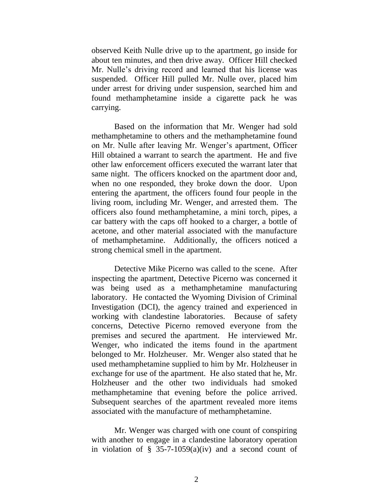observed Keith Nulle drive up to the apartment, go inside for about ten minutes, and then drive away. Officer Hill checked Mr. Nulle's driving record and learned that his license was suspended. Officer Hill pulled Mr. Nulle over, placed him under arrest for driving under suspension, searched him and found methamphetamine inside a cigarette pack he was carrying.

Based on the information that Mr. Wenger had sold methamphetamine to others and the methamphetamine found on Mr. Nulle after leaving Mr. Wenger's apartment, Officer Hill obtained a warrant to search the apartment. He and five other law enforcement officers executed the warrant later that same night. The officers knocked on the apartment door and, when no one responded, they broke down the door. Upon entering the apartment, the officers found four people in the living room, including Mr. Wenger, and arrested them. The officers also found methamphetamine, a mini torch, pipes, a car battery with the caps off hooked to a charger, a bottle of acetone, and other material associated with the manufacture of methamphetamine. Additionally, the officers noticed a strong chemical smell in the apartment.

Detective Mike Picerno was called to the scene. After inspecting the apartment, Detective Picerno was concerned it was being used as a methamphetamine manufacturing laboratory. He contacted the Wyoming Division of Criminal Investigation (DCI), the agency trained and experienced in working with clandestine laboratories. Because of safety concerns, Detective Picerno removed everyone from the premises and secured the apartment. He interviewed Mr. Wenger, who indicated the items found in the apartment belonged to Mr. Holzheuser. Mr. Wenger also stated that he used methamphetamine supplied to him by Mr. Holzheuser in exchange for use of the apartment. He also stated that he, Mr. Holzheuser and the other two individuals had smoked methamphetamine that evening before the police arrived. Subsequent searches of the apartment revealed more items associated with the manufacture of methamphetamine.

Mr. Wenger was charged with one count of conspiring with another to engage in a clandestine laboratory operation in violation of  $\S$  35-7-1059(a)(iv) and a second count of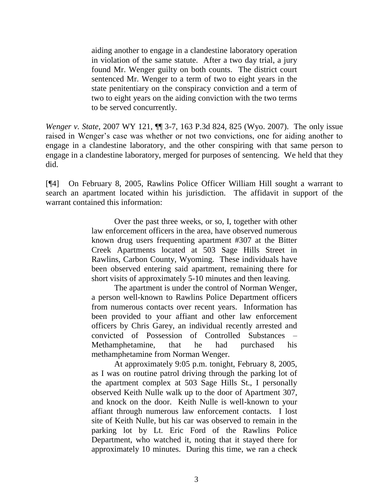aiding another to engage in a clandestine laboratory operation in violation of the same statute. After a two day trial, a jury found Mr. Wenger guilty on both counts. The district court sentenced Mr. Wenger to a term of two to eight years in the state penitentiary on the conspiracy conviction and a term of two to eight years on the aiding conviction with the two terms to be served concurrently.

*Wenger v. State*, 2007 WY 121, ¶¶ 3-7, 163 P.3d 824, 825 (Wyo. 2007). The only issue raised in Wenger's case was whether or not two convictions, one for aiding another to engage in a clandestine laboratory, and the other conspiring with that same person to engage in a clandestine laboratory, merged for purposes of sentencing. We held that they did.

[¶4] On February 8, 2005, Rawlins Police Officer William Hill sought a warrant to search an apartment located within his jurisdiction. The affidavit in support of the warrant contained this information:

> Over the past three weeks, or so, I, together with other law enforcement officers in the area, have observed numerous known drug users frequenting apartment #307 at the Bitter Creek Apartments located at 503 Sage Hills Street in Rawlins, Carbon County, Wyoming. These individuals have been observed entering said apartment, remaining there for short visits of approximately 5-10 minutes and then leaving.

> The apartment is under the control of Norman Wenger, a person well-known to Rawlins Police Department officers from numerous contacts over recent years. Information has been provided to your affiant and other law enforcement officers by Chris Garey, an individual recently arrested and convicted of Possession of Controlled Substances – Methamphetamine, that he had purchased his methamphetamine from Norman Wenger.

> At approximately 9:05 p.m. tonight, February 8, 2005, as I was on routine patrol driving through the parking lot of the apartment complex at 503 Sage Hills St., I personally observed Keith Nulle walk up to the door of Apartment 307, and knock on the door. Keith Nulle is well-known to your affiant through numerous law enforcement contacts. I lost site of Keith Nulle, but his car was observed to remain in the parking lot by Lt. Eric Ford of the Rawlins Police Department, who watched it, noting that it stayed there for approximately 10 minutes. During this time, we ran a check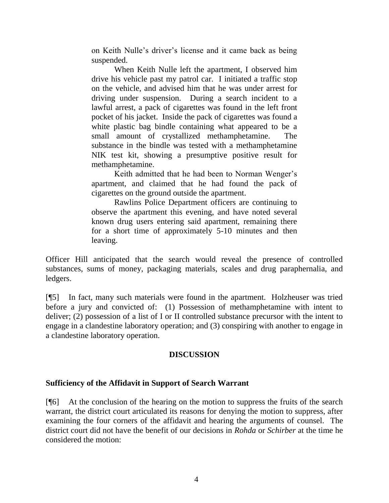on Keith Nulle's driver's license and it came back as being suspended.

When Keith Nulle left the apartment, I observed him drive his vehicle past my patrol car. I initiated a traffic stop on the vehicle, and advised him that he was under arrest for driving under suspension. During a search incident to a lawful arrest, a pack of cigarettes was found in the left front pocket of his jacket. Inside the pack of cigarettes was found a white plastic bag bindle containing what appeared to be a small amount of crystallized methamphetamine. The substance in the bindle was tested with a methamphetamine NIK test kit, showing a presumptive positive result for methamphetamine.

Keith admitted that he had been to Norman Wenger's apartment, and claimed that he had found the pack of cigarettes on the ground outside the apartment.

Rawlins Police Department officers are continuing to observe the apartment this evening, and have noted several known drug users entering said apartment, remaining there for a short time of approximately 5-10 minutes and then leaving.

Officer Hill anticipated that the search would reveal the presence of controlled substances, sums of money, packaging materials, scales and drug paraphernalia, and ledgers.

[¶5] In fact, many such materials were found in the apartment. Holzheuser was tried before a jury and convicted of: (1) Possession of methamphetamine with intent to deliver; (2) possession of a list of I or II controlled substance precursor with the intent to engage in a clandestine laboratory operation; and (3) conspiring with another to engage in a clandestine laboratory operation.

# **DISCUSSION**

### **Sufficiency of the Affidavit in Support of Search Warrant**

[¶6] At the conclusion of the hearing on the motion to suppress the fruits of the search warrant, the district court articulated its reasons for denying the motion to suppress, after examining the four corners of the affidavit and hearing the arguments of counsel. The district court did not have the benefit of our decisions in *Rohda* or *Schirber* at the time he considered the motion: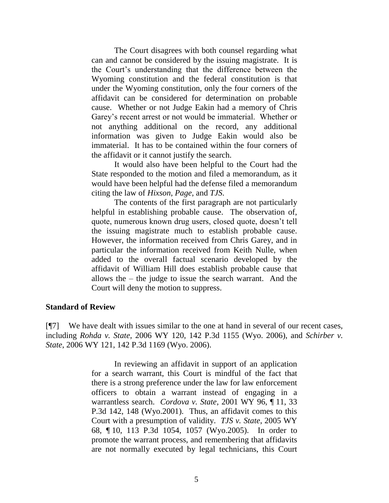The Court disagrees with both counsel regarding what can and cannot be considered by the issuing magistrate. It is the Court's understanding that the difference between the Wyoming constitution and the federal constitution is that under the Wyoming constitution, only the four corners of the affidavit can be considered for determination on probable cause. Whether or not Judge Eakin had a memory of Chris Garey's recent arrest or not would be immaterial. Whether or not anything additional on the record, any additional information was given to Judge Eakin would also be immaterial. It has to be contained within the four corners of the affidavit or it cannot justify the search.

It would also have been helpful to the Court had the State responded to the motion and filed a memorandum, as it would have been helpful had the defense filed a memorandum citing the law of *Hixson*, *Page*, and *TJS*.

The contents of the first paragraph are not particularly helpful in establishing probable cause. The observation of, quote, numerous known drug users, closed quote, doesn't tell the issuing magistrate much to establish probable cause. However, the information received from Chris Garey, and in particular the information received from Keith Nulle, when added to the overall factual scenario developed by the affidavit of William Hill does establish probable cause that allows the – the judge to issue the search warrant. And the Court will deny the motion to suppress.

#### **Standard of Review**

[¶7] We have dealt with issues similar to the one at hand in several of our recent cases, including *Rohda v. State*, 2006 WY 120, 142 P.3d 1155 (Wyo. 2006), and *Schirber v. State*, 2006 WY 121, 142 P.3d 1169 (Wyo. 2006).

> In reviewing an affidavit in support of an application for a search warrant, this Court is mindful of the fact that there is a strong preference under the law for law enforcement officers to obtain a warrant instead of engaging in a warrantless search. *Cordova v. State*, 2001 WY 96, ¶ 11, 33 P.3d 142, 148 (Wyo.2001). Thus, an affidavit comes to this Court with a presumption of validity. *TJS v. State*, 2005 WY 68, ¶ 10, 113 P.3d 1054, 1057 (Wyo.2005). In order to promote the warrant process, and remembering that affidavits are not normally executed by legal technicians, this Court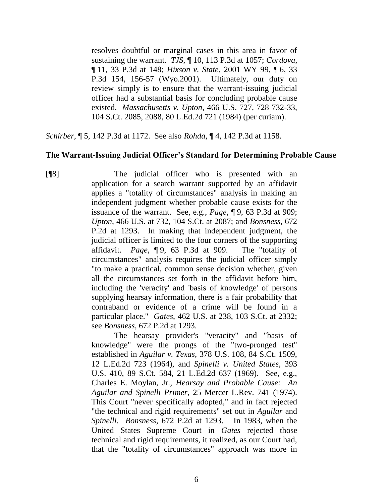resolves doubtful or marginal cases in this area in favor of sustaining the warrant. *TJS*, ¶ 10, 113 P.3d at 1057; *Cordova*, ¶ 11, 33 P.3d at 148; *Hixson v. State*, 2001 WY 99, ¶ 6, 33 P.3d 154, 156-57 (Wyo.2001). Ultimately, our duty on review simply is to ensure that the warrant-issuing judicial officer had a substantial basis for concluding probable cause existed. *Massachusetts v. Upton*, 466 U.S. 727, 728 732-33, 104 S.Ct. 2085, 2088, 80 L.Ed.2d 721 (1984) (per curiam).

*Schirber*, ¶ 5, 142 P.3d at 1172. See also *Rohda*, ¶ 4, 142 P.3d at 1158.

## **The Warrant-Issuing Judicial Officer's Standard for Determining Probable Cause**

[¶8] The judicial officer who is presented with an application for a search warrant supported by an affidavit applies a "totality of circumstances" analysis in making an independent judgment whether probable cause exists for the issuance of the warrant. See, e.g., *Page*, ¶ 9, 63 P.3d at 909; *Upton*, 466 U.S. at 732, 104 S.Ct. at 2087; and *Bonsness*, 672 P.2d at 1293. In making that independent judgment, the judicial officer is limited to the four corners of the supporting affidavit. *Page*, ¶ 9, 63 P.3d at 909. The "totality of circumstances" analysis requires the judicial officer simply "to make a practical, common sense decision whether, given all the circumstances set forth in the affidavit before him, including the 'veracity' and 'basis of knowledge' of persons supplying hearsay information, there is a fair probability that contraband or evidence of a crime will be found in a particular place." *Gates*, 462 U.S. at 238, 103 S.Ct. at 2332; see *Bonsness*, 672 P.2d at 1293.

The hearsay provider's "veracity" and "basis of knowledge" were the prongs of the "two-pronged test" established in *Aguilar v. Texas*, 378 U.S. 108, 84 S.Ct. 1509, 12 L.Ed.2d 723 (1964), and *Spinelli v. United States*, 393 U.S. 410, 89 S.Ct. 584, 21 L.Ed.2d 637 (1969). See, e.g., Charles E. Moylan, Jr., *Hearsay and Probable Cause: An Aguilar and Spinelli Primer*, 25 Mercer L.Rev. 741 (1974). This Court "never specifically adopted," and in fact rejected "the technical and rigid requirements" set out in *Aguilar* and *Spinelli*. *Bonsness*, 672 P.2d at 1293. In 1983, when the United States Supreme Court in *Gates* rejected those technical and rigid requirements, it realized, as our Court had, that the "totality of circumstances" approach was more in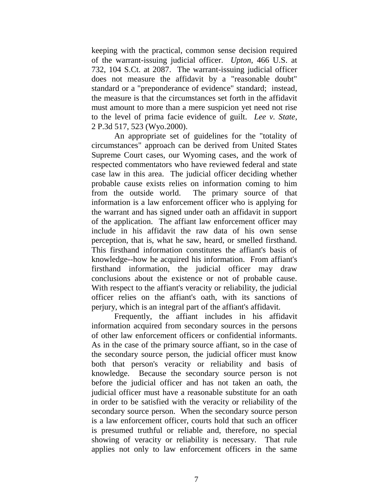keeping with the practical, common sense decision required of the warrant-issuing judicial officer. *Upton*, 466 U.S. at 732, 104 S.Ct. at 2087. The warrant-issuing judicial officer does not measure the affidavit by a "reasonable doubt" standard or a "preponderance of evidence" standard; instead, the measure is that the circumstances set forth in the affidavit must amount to more than a mere suspicion yet need not rise to the level of prima facie evidence of guilt. *Lee v. State*, 2 P.3d 517, 523 (Wyo.2000).

An appropriate set of guidelines for the "totality of circumstances" approach can be derived from United States Supreme Court cases, our Wyoming cases, and the work of respected commentators who have reviewed federal and state case law in this area. The judicial officer deciding whether probable cause exists relies on information coming to him from the outside world. The primary source of that information is a law enforcement officer who is applying for the warrant and has signed under oath an affidavit in support of the application. The affiant law enforcement officer may include in his affidavit the raw data of his own sense perception, that is, what he saw, heard, or smelled firsthand. This firsthand information constitutes the affiant's basis of knowledge--how he acquired his information. From affiant's firsthand information, the judicial officer may draw conclusions about the existence or not of probable cause. With respect to the affiant's veracity or reliability, the judicial officer relies on the affiant's oath, with its sanctions of perjury, which is an integral part of the affiant's affidavit.

Frequently, the affiant includes in his affidavit information acquired from secondary sources in the persons of other law enforcement officers or confidential informants. As in the case of the primary source affiant, so in the case of the secondary source person, the judicial officer must know both that person's veracity or reliability and basis of knowledge. Because the secondary source person is not before the judicial officer and has not taken an oath, the judicial officer must have a reasonable substitute for an oath in order to be satisfied with the veracity or reliability of the secondary source person. When the secondary source person is a law enforcement officer, courts hold that such an officer is presumed truthful or reliable and, therefore, no special showing of veracity or reliability is necessary. That rule applies not only to law enforcement officers in the same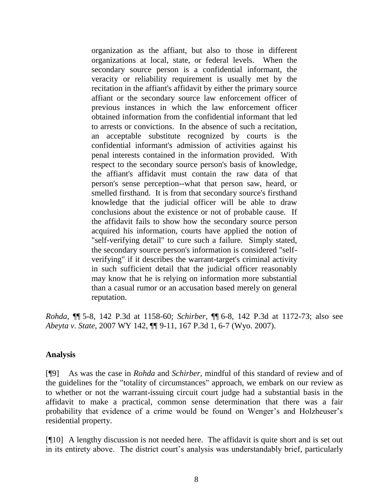organization as the affiant, but also to those in different organizations at local, state, or federal levels. When the secondary source person is a confidential informant, the veracity or reliability requirement is usually met by the recitation in the affiant's affidavit by either the primary source affiant or the secondary source law enforcement officer of previous instances in which the law enforcement officer obtained information from the confidential informant that led to arrests or convictions. In the absence of such a recitation, an acceptable substitute recognized by courts is the confidential informant's admission of activities against his penal interests contained in the information provided. With respect to the secondary source person's basis of knowledge, the affiant's affidavit must contain the raw data of that person's sense perception--what that person saw, heard, or smelled firsthand. It is from that secondary source's firsthand knowledge that the judicial officer will be able to draw conclusions about the existence or not of probable cause. If the affidavit fails to show how the secondary source person acquired his information, courts have applied the notion of "self-verifying detail" to cure such a failure. Simply stated, the secondary source person's information is considered "selfverifying" if it describes the warrant-target's criminal activity in such sufficient detail that the judicial officer reasonably may know that he is relying on information more substantial than a casual rumor or an accusation based merely on general reputation.

*Rohda*, ¶¶ 5-8, 142 P.3d at 1158-60; *Schirber*, ¶¶ 6-8, 142 P.3d at 1172-73; also see *Abeyta v. State*, 2007 WY 142, ¶¶ 9-11, 167 P.3d 1, 6-7 (Wyo. 2007).

### **Analysis**

[¶9] As was the case in *Rohda* and *Schirber*, mindful of this standard of review and of the guidelines for the "totality of circumstances" approach, we embark on our review as to whether or not the warrant-issuing circuit court judge had a substantial basis in the affidavit to make a practical, common sense determination that there was a fair probability that evidence of a crime would be found on Wenger's and Holzheuser's residential property.

[¶10] A lengthy discussion is not needed here. The affidavit is quite short and is set out in its entirety above. The district court's analysis was understandably brief, particularly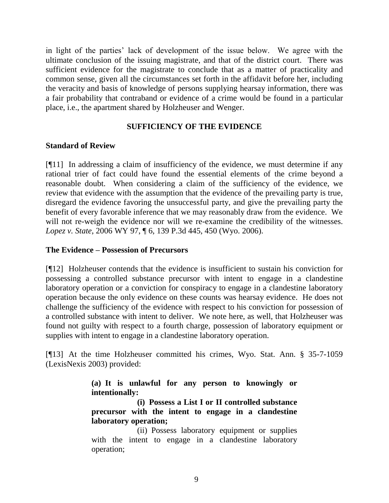in light of the parties' lack of development of the issue below. We agree with the ultimate conclusion of the issuing magistrate, and that of the district court. There was sufficient evidence for the magistrate to conclude that as a matter of practicality and common sense, given all the circumstances set forth in the affidavit before her, including the veracity and basis of knowledge of persons supplying hearsay information, there was a fair probability that contraband or evidence of a crime would be found in a particular place, i.e., the apartment shared by Holzheuser and Wenger.

# **SUFFICIENCY OF THE EVIDENCE**

## **Standard of Review**

[¶11] In addressing a claim of insufficiency of the evidence, we must determine if any rational trier of fact could have found the essential elements of the crime beyond a reasonable doubt. When considering a claim of the sufficiency of the evidence, we review that evidence with the assumption that the evidence of the prevailing party is true, disregard the evidence favoring the unsuccessful party, and give the prevailing party the benefit of every favorable inference that we may reasonably draw from the evidence. We will not re-weigh the evidence nor will we re-examine the credibility of the witnesses. *Lopez v. State*, 2006 WY 97, ¶ 6, 139 P.3d 445, 450 (Wyo. 2006).

### **The Evidence – Possession of Precursors**

[¶12] Holzheuser contends that the evidence is insufficient to sustain his conviction for possessing a controlled substance precursor with intent to engage in a clandestine laboratory operation or a conviction for conspiracy to engage in a clandestine laboratory operation because the only evidence on these counts was hearsay evidence. He does not challenge the sufficiency of the evidence with respect to his conviction for possession of a controlled substance with intent to deliver. We note here, as well, that Holzheuser was found not guilty with respect to a fourth charge, possession of laboratory equipment or supplies with intent to engage in a clandestine laboratory operation.

[¶13] At the time Holzheuser committed his crimes, Wyo. Stat. Ann. § 35-7-1059 (LexisNexis 2003) provided:

> **(a) It is unlawful for any person to knowingly or intentionally:**

> **(i) Possess a List I or II controlled substance precursor with the intent to engage in a clandestine laboratory operation;**

> (ii) Possess laboratory equipment or supplies with the intent to engage in a clandestine laboratory operation;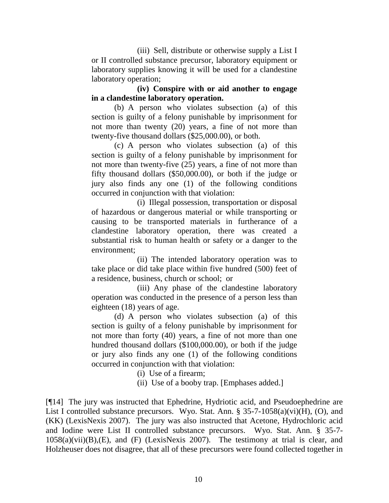(iii) Sell, distribute or otherwise supply a List I or II controlled substance precursor, laboratory equipment or laboratory supplies knowing it will be used for a clandestine laboratory operation;

**(iv) Conspire with or aid another to engage in a clandestine laboratory operation.**

(b) A person who violates subsection (a) of this section is guilty of a felony punishable by imprisonment for not more than twenty (20) years, a fine of not more than twenty-five thousand dollars (\$25,000.00), or both.

(c) A person who violates subsection (a) of this section is guilty of a felony punishable by imprisonment for not more than twenty-five (25) years, a fine of not more than fifty thousand dollars (\$50,000.00), or both if the judge or jury also finds any one (1) of the following conditions occurred in conjunction with that violation:

(i) Illegal possession, transportation or disposal of hazardous or dangerous material or while transporting or causing to be transported materials in furtherance of a clandestine laboratory operation, there was created a substantial risk to human health or safety or a danger to the environment;

(ii) The intended laboratory operation was to take place or did take place within five hundred (500) feet of a residence, business, church or school; or

(iii) Any phase of the clandestine laboratory operation was conducted in the presence of a person less than eighteen (18) years of age.

(d) A person who violates subsection (a) of this section is guilty of a felony punishable by imprisonment for not more than forty (40) years, a fine of not more than one hundred thousand dollars (\$100,000.00), or both if the judge or jury also finds any one (1) of the following conditions occurred in conjunction with that violation:

(i) Use of a firearm;

(ii) Use of a booby trap. [Emphases added.]

[¶14] The jury was instructed that Ephedrine, Hydriotic acid, and Pseudoephedrine are List I controlled substance precursors. Wyo. Stat. Ann. § 35-7-1058(a)(vi)(H), (O), and (KK) (LexisNexis 2007). The jury was also instructed that Acetone, Hydrochloric acid and Iodine were List II controlled substance precursors. Wyo. Stat. Ann. § 35-7-  $1058(a)(vii)(B),(E)$ , and  $(F)$  (LexisNexis 2007). The testimony at trial is clear, and Holzheuser does not disagree, that all of these precursors were found collected together in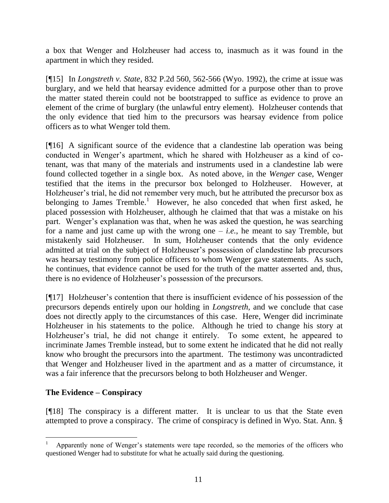a box that Wenger and Holzheuser had access to, inasmuch as it was found in the apartment in which they resided.

[¶15] In *Longstreth v. State*, 832 P.2d 560, 562-566 (Wyo. 1992), the crime at issue was burglary, and we held that hearsay evidence admitted for a purpose other than to prove the matter stated therein could not be bootstrapped to suffice as evidence to prove an element of the crime of burglary (the unlawful entry element). Holzheuser contends that the only evidence that tied him to the precursors was hearsay evidence from police officers as to what Wenger told them.

[¶16] A significant source of the evidence that a clandestine lab operation was being conducted in Wenger's apartment, which he shared with Holzheuser as a kind of cotenant, was that many of the materials and instruments used in a clandestine lab were found collected together in a single box. As noted above, in the *Wenger* case, Wenger testified that the items in the precursor box belonged to Holzheuser. However, at Holzheuser's trial, he did not remember very much, but he attributed the precursor box as belonging to James Tremble.<sup>1</sup> However, he also conceded that when first asked, he placed possession with Holzheuser, although he claimed that that was a mistake on his part. Wenger's explanation was that, when he was asked the question, he was searching for a name and just came up with the wrong one  $-i.e.,$  he meant to say Tremble, but mistakenly said Holzheuser. In sum, Holzheuser contends that the only evidence admitted at trial on the subject of Holzheuser's possession of clandestine lab precursors was hearsay testimony from police officers to whom Wenger gave statements. As such, he continues, that evidence cannot be used for the truth of the matter asserted and, thus, there is no evidence of Holzheuser's possession of the precursors.

[¶17] Holzheuser's contention that there is insufficient evidence of his possession of the precursors depends entirely upon our holding in *Longstreth*, and we conclude that case does not directly apply to the circumstances of this case. Here, Wenger did incriminate Holzheuser in his statements to the police. Although he tried to change his story at Holzheuser's trial, he did not change it entirely. To some extent, he appeared to incriminate James Tremble instead, but to some extent he indicated that he did not really know who brought the precursors into the apartment. The testimony was uncontradicted that Wenger and Holzheuser lived in the apartment and as a matter of circumstance, it was a fair inference that the precursors belong to both Holzheuser and Wenger.

# **The Evidence – Conspiracy**

l

[¶18] The conspiracy is a different matter. It is unclear to us that the State even attempted to prove a conspiracy. The crime of conspiracy is defined in Wyo. Stat. Ann. §

<sup>1</sup> Apparently none of Wenger's statements were tape recorded, so the memories of the officers who questioned Wenger had to substitute for what he actually said during the questioning.